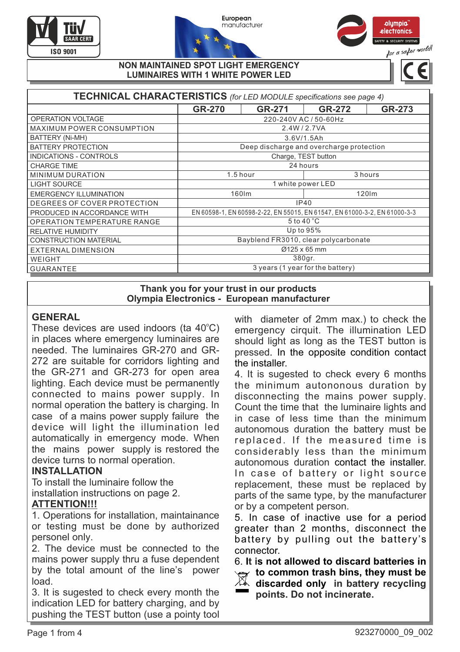





#### **NON MAINTAINED SPOT LIGHT EMERGENCY LUMINAIRES WITH 1 WHITE POWER LED**

| TECHNICAL CHARACTERISTICS (for LED MODULE specifications see page 4) |                                                                           |          |               |        |  |  |  |
|----------------------------------------------------------------------|---------------------------------------------------------------------------|----------|---------------|--------|--|--|--|
|                                                                      | <b>GR-270</b>                                                             | GR-271   | <b>GR-272</b> | GR-273 |  |  |  |
| OPERATION VOLTAGE                                                    | 220-240V AC / 50-60Hz                                                     |          |               |        |  |  |  |
| <b>MAXIMUM POWER CONSUMPTION</b>                                     | 2.4W/2.7VA                                                                |          |               |        |  |  |  |
| BATTERY (Ni-MH)                                                      | 3.6V/1.5Ah                                                                |          |               |        |  |  |  |
| <b>BATTERY PROTECTION</b>                                            | Deep discharge and overcharge protection                                  |          |               |        |  |  |  |
| <b>INDICATIONS - CONTROLS</b>                                        | Charge, TEST button                                                       |          |               |        |  |  |  |
| <b>CHARGE TIME</b>                                                   | 24 hours                                                                  |          |               |        |  |  |  |
| <b>MINIMUM DURATION</b>                                              |                                                                           | 1.5 hour | 3 hours       |        |  |  |  |
| <b>LIGHT SOURCE</b>                                                  | 1 white power LED                                                         |          |               |        |  |  |  |
| <b>EMERGENCY ILLUMINATION</b>                                        | 160lm<br>120 <sub>Im</sub>                                                |          |               |        |  |  |  |
| DEGREES OF COVER PROTECTION                                          | IP40                                                                      |          |               |        |  |  |  |
| PRODUCED IN ACCORDANCE WITH                                          | EN 60598-1, EN 60598-2-22, EN 55015, EN 61547, EN 61000-3-2, EN 61000-3-3 |          |               |        |  |  |  |
| OPERATION TEMPERATURE RANGE                                          | $5$ to $40^{\circ}$ C                                                     |          |               |        |  |  |  |
| <b>RELATIVE HUMIDITY</b>                                             | Up to 95%                                                                 |          |               |        |  |  |  |
| <b>CONSTRUCTION MATERIAL</b>                                         | Bayblend FR3010, clear polycarbonate                                      |          |               |        |  |  |  |
| <b>EXTERNAL DIMENSION</b>                                            | Ø125 x 65 mm                                                              |          |               |        |  |  |  |
| WEIGHT                                                               | 380gr.                                                                    |          |               |        |  |  |  |
| <b>GUARANTEE</b>                                                     | 3 years (1 year for the battery)                                          |          |               |        |  |  |  |

**Thank you for your trust in our products Olympia Electronics - European manufacturer**

# **GENERAL**

These devices are used indoors (ta 40°C) in places where emergency luminaires are needed. The luminaires GR-270 and GR-272 are suitable for corridors lighting and the GR-271 and GR-273 for open area lighting. Each device must be permanently connected to mains power supply. In normal operation the battery is charging. In case of a mains power supply failure the device will light the illumination led automatically in emergency mode. When the mains power supply is restored the device turns to normal operation.

# **INSTALLATION**

To install the luminaire follow the installation instructions οn page 2.

# **ΑΤΤΕΝΤΙΟΝ!!!**

1. Operations for installation, maintainance or testing must be done by authorized personel only.

2. The device must be connected to the mains power supply thru a fuse dependent by the total amount of the line's power load.

3. It is sugested to check every month the indication LED for battery charging, and by pushing the TEST button (use a pointy tool with diameter of 2mm max.) to check the emergency cirquit. The illumination LED should light as long as the TEST button is pressed. In the opposite condition contact the installer.

4. It is sugested to check every 6 months the minimum autononous duration by disconnecting the mains power supply. Count the time that the luminaire lights and in case of less time than the minimum autonomous duration the battery must be replaced. If the measured time is considerably less than the minimum autonomous duration contact the installer. In case of battery or light source replacement, these must be replaced by parts of the same type, by the manufacturer or by a competent person.

5. In case of inactive use for a period greater than 2 months, disconnect the battery by pulling out the battery's connector.

6. **It is not allowed to discard batteries in to common trash bins, they must be discarded only in battery recycling points. Do not incinerate.**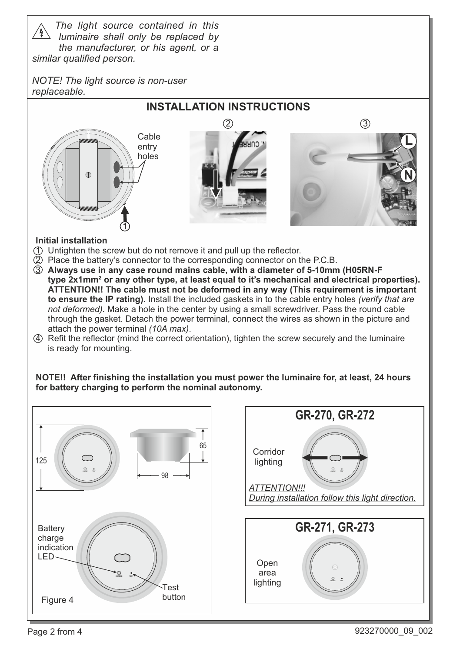*The light source contained in this luminaire shall only be replaced by the manufacturer, or his agent, or a similar qualified person.*

*NOTE! The light source is non-user replaceable.*



## **Initial installation**

- 1 Untighten the screw but do not remove it and pull up the reflector.
- $Q$  Place the battery's connector to the corresponding connector on the P.C.B.
- 3 **Always use in any case round mains cable, with a diameter of 5-10mm (H05RN-F type 2x1mm² or any other type, at least equal to it's mechanical and electrical properties). ATTENTION!! The cable must not be deformed in any way (This requirement is important to ensure the ΙΡ rating).** Install the included gaskets in to the cable entry holes *(verify that are not deformed)*. Make a hole in the center by using a small screwdriver. Pass the round cable through the gasket. Detach the power terminal, connect the wires as shown in the picture and attach the power terminal *(10A max)*.
- 4 Refit the reflector (mind the correct orientation), tighten the screw securely and the luminaire is ready for mounting.

**NOTE!! After finishing the installation you must power the luminaire for, at least, 24 hours for battery charging to perform the nominal autonomy.**



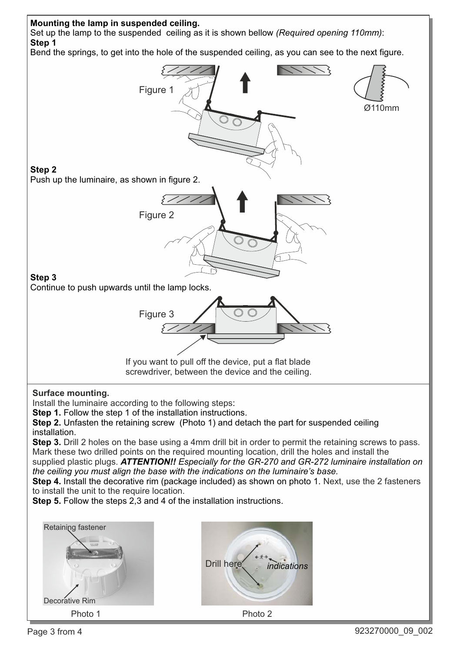